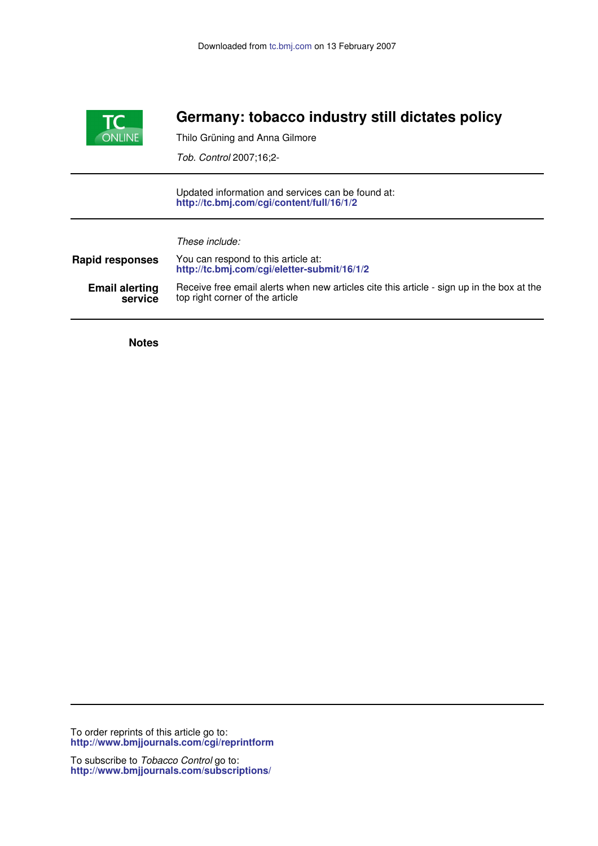

## **Germany: tobacco industry still dictates policy**

Thilo Grüning and Anna Gilmore

*Tob. Control* 2007;16;2-

**http://tc.bmj.com/cgi/content/full/16/1/2** Updated information and services can be found at:

*These include:*

| <b>Rapid responses</b> | You can respond to this article at:<br>http://tc.bmj.com/cgi/eletter-submit/16/1/2        |
|------------------------|-------------------------------------------------------------------------------------------|
| <b>Email alerting</b>  | Receive free email alerts when new articles cite this article - sign up in the box at the |
| service                | top right corner of the article                                                           |

**Notes**

**http://www.bmjjournals.com/cgi/reprintform** To order reprints of this article go to:

**http://www.bmjjournals.com/subscriptions/** To subscribe to *Tobacco Control* go to: